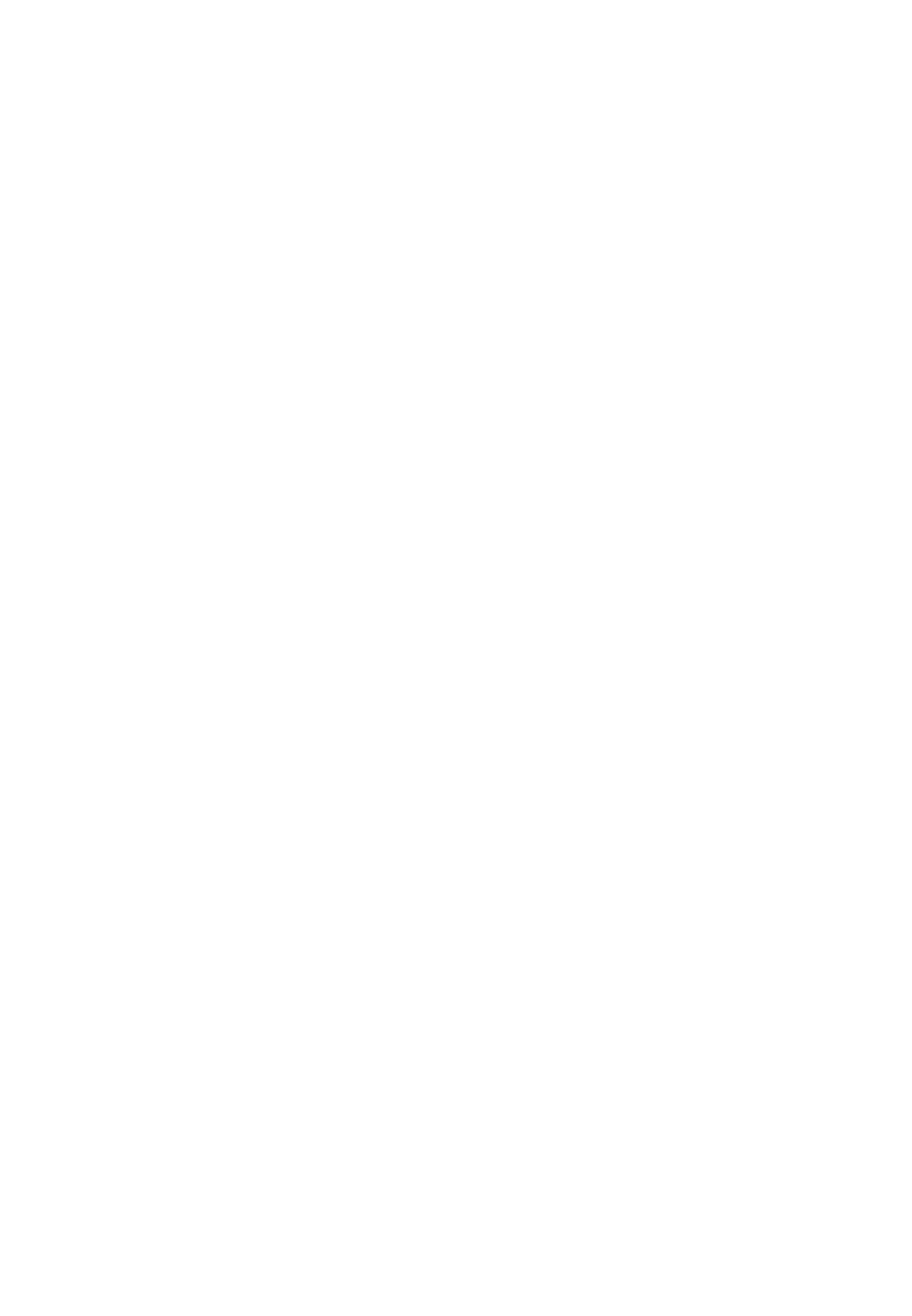## **Application Instructions of Battery Fuses "SEFUSE® D6SA Series"**

The followings are application instructions of battery fuses D6SA series for the customers of such devices. The following items are recommended to maintain the operation performance of battery fuses and equipment which use it.

|                                         |                                         | Table 1. Fuse specifications        |               |                                |                                          |  |                                           |
|-----------------------------------------|-----------------------------------------|-------------------------------------|---------------|--------------------------------|------------------------------------------|--|-------------------------------------------|
| <b>Product Name</b>                     |                                         | <b>Rated Current</b><br>$A^{\circ}$ |               | Rated Voltage<br>Vdc)          | <b>Breaking Capacity</b><br>$\mathsf{A}$ |  | <b>Fuse Resistance</b><br>(mΩ)            |
| D6SAy-12 (D6SA2-12, D6SA3-12, D6SA4-12) |                                         | 12                                  |               |                                |                                          |  | $2.0 \pm 1.0$                             |
| D6SAy-15 (D6SA3-15, D6SA4-15, D6SA5-15) |                                         | 15                                  |               | 36<br>50                       |                                          |  | $1.5 \pm 1.0$                             |
| Table 2. Heater specifications          |                                         |                                     |               |                                |                                          |  |                                           |
| <b>Product Name</b>                     | <b>Applicable Series</b><br>Cell Number | Applicable Voltage<br>Range (V)     |               | <b>Heater Resistance</b><br>Ω) |                                          |  | Applicable Wattage<br>Note 1<br>Range (W) |
| D6SA2-12                                | 1 and $2$                               | $4.0 - 9.0$                         |               | $2.15 \pm 20\%$                |                                          |  | $6.2 \rightarrow 47.1$                    |
| D6SA3-12                                | 3                                       | $7.4 \sim 13.8$                     |               | $7.3 \pm 20%$                  |                                          |  | $6.3 - 32.6$                              |
| D6SA3-15                                |                                         |                                     |               | $6.9 \pm 20\%$                 |                                          |  | $6.6 \sim 34.6$                           |
| D6SA4-12                                |                                         |                                     |               |                                | $14.7 \pm 20\%$                          |  | $6.3 \sim 32.7$                           |
| D6SA4-15                                |                                         |                                     | $10.5 - 19.6$ |                                | $14.0 \pm 20%$                           |  | $6.5 \sim 34.3$                           |

 $D6$ SA5-15 14.5 14.4~23.5 21.6±20% 8.0~31.9

Note 1. Reference

## **2. Application Instructions**

2.1 Design Caution

**1. Ratings**

- 2.1.1 The customer should judge the propriety of mounting location and mounting method for each application. The body temperature of the battery fuses becomes higher as current passes through, and might rise higher than the ambient atmosphere temperature. Therefore, after mounting the battery fuses under the same conditions you would use for the actual operation, please run the final product and confirm whether the battery fuses operate normally. Please confirm and test whether battery fuses does not cause problem repeatedly, under normal conditions as well as under predicted maximum abnormal conditions.
- 2.1.2 Do not use this device in aerospace equipment, aeronautical equipment, nuclear reactor control systems, life support equipment or systems, transportation machinery engine control or safety-related equipment. This device is designed for use in household electric appliance, office automation equipment, audio and video equipment, computer communications equipment, test and measurement equipment, personal electronic equipment and transportation equipment (excluding engine control).
- 2.1.3 Do not contact the battery fuses and resin-mold. The resin might infiltrate into the product, and it doesn't meet the specification when the resin-mold is done to this product. These products after resin-mold will not be guaranteed.
- 2.1.4 Do not use the battery fuses in the liquid as water or organic solvents, in the atmosphere as sulfurous acid gas, nitrogen oxide gas, or high humidity. And, ultrasonic-cleaning or immersion-cleaning and so on must not be done to the battery fuses before and after mounted. When cleaning is done, flux on element would flow, and it would not be satisfied its specifications. Moreover, a similar influence happens when the product comes in contact with cleaning-solution. These products after cleaning will not be guaranteed.
- 2.1.5 Make sure that the terminals of this product are connected property on the land of circuit board, and the value falls in the rated heater resistance between Terminal「1」-  $\lceil 4 \rceil$  and  $\lceil 3 \rceil - 4 \rceil$ . Terminal  $\lceil 2 \rceil$  is the dummy electrode having no electrical functions, but it is recommended to be connected to the circuit board.
- 2.1.6 Please do not re-use of the battery fuses removed by solder correction.
- Terminal [1] D6Sxy Terminal [4] erminal [2]  $\cup$   $\triangle$   $\triangle$   $\triangle$ Terminal<sub>[3]</sub> Fig.1 Terminal position
- 2.1.7 If it is expected that the general consumers who are not aware of the usage cautions for the battery fuses handle it, please warn not to mount, remove or replace the battery fuses through the user's manual and other related material.

## 2.2 Disposal Considerations

2.2.1 The battery fuses corresponds to industrial waste, so dispose it according to the government, provincial regulations, or entrust the licensed disposal contractor.

## **3. Examination for damage**

Since battery fuses may be damaged by the mechanical force or the thermal force in the installation process of battery fuse to equipment. The following checks are also recommended often installing.

- (1) Appearance check for outside of battery fuses. (2) Conductivity check.
- (3) X-ray check for inside of battery fuses. (4) Operation check by sampling.
- -

## **4. For reasons of safety**

The battery fuses is a non-repairable item and, in case of replacement, an equivalent battery fuses from the same manufacturer and having the same catalogue reference should be used, mounted in exactly the same way. If applicable, it is recommended to warn general consumers, who are not aware of the usage cautions for the battery fuses, remove or replace the battery fuses through a note to this effect in the user's manual and other related material.

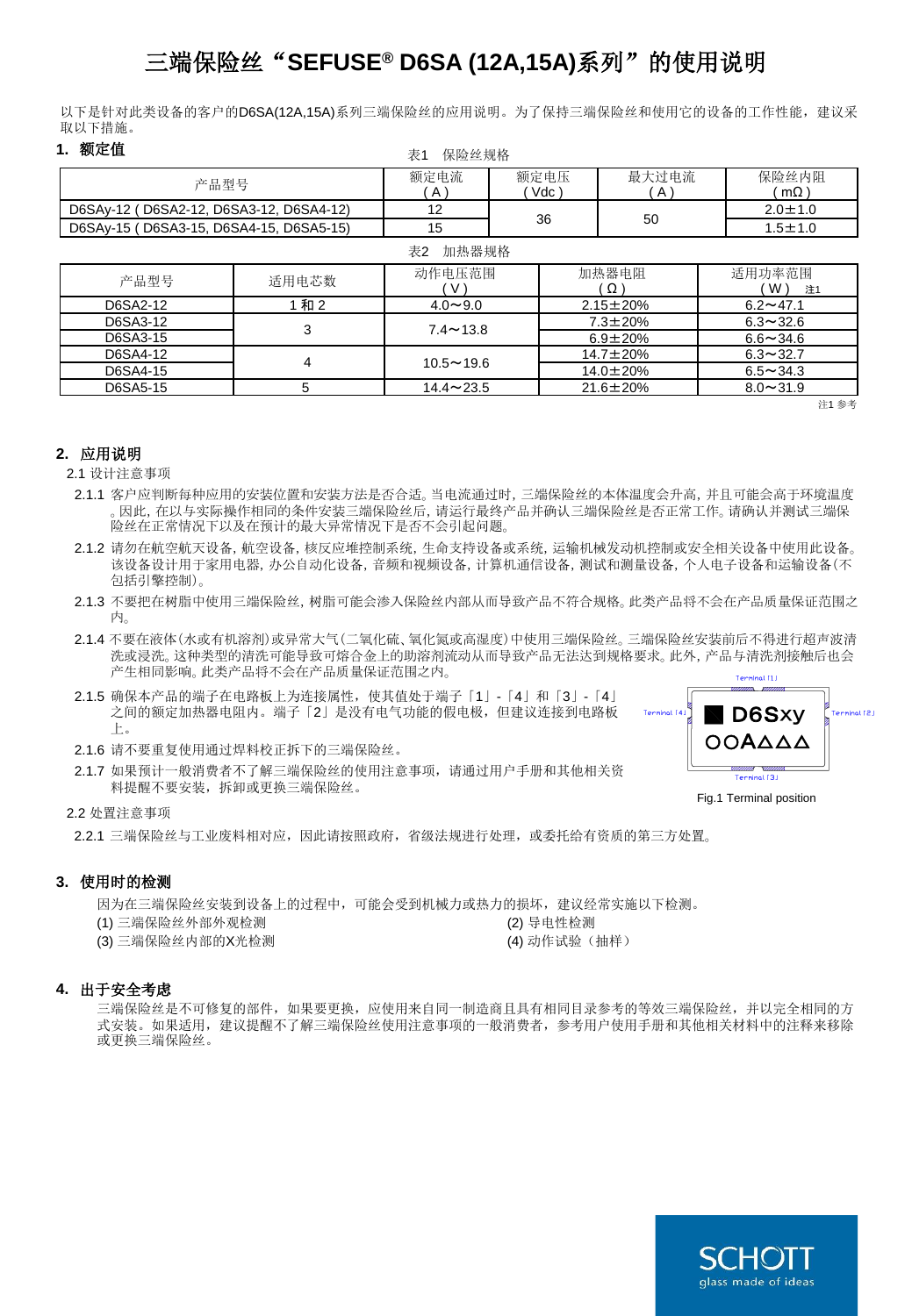## 三端保险丝"**SEFUSE® D6SA (12A,15A)**系列"的使用说明

以下是针对此类设备的客户的D6SA(12A,15A)系列三端保险丝的应用说明。为了保持三端保险丝和使用它的设备的工作性能,建议采 取以下措施。

| l. 欲疋咀                                  |       | 保险丝规格<br>表1          |              |                   |                      |  |
|-----------------------------------------|-------|----------------------|--------------|-------------------|----------------------|--|
| 产品型号                                    |       | 额定电流<br>$\mathsf{A}$ | 额定电压<br>Vdc) | 最大过电流<br>A        | 保险丝内阻<br>$m\Omega$ ) |  |
| D6SAy-12 (D6SA2-12, D6SA3-12, D6SA4-12) |       | 12                   | 36           | 50                | $2.0 \pm 1.0$        |  |
| D6SAy-15 (D6SA3-15, D6SA4-15, D6SA5-15) |       | 15                   |              |                   | $1.5 \pm 1.0$        |  |
| 加热器规格<br>表2                             |       |                      |              |                   |                      |  |
| 产品型号                                    | 适用电芯数 | 动作电压范围<br>V.         |              | 加热器电阻<br>$\Omega$ | 适用功率范围<br>W)<br>注1   |  |
| D6SA2-12                                | 1和2   | $4.0 \sim 9.0$       |              | $2.15 \pm 20\%$   | $6.2 \sim 47.1$      |  |
| D6SA3-12                                | 3     | $7.4 \sim 13.8$      |              | $7.3 \pm 20\%$    | $6.3 - 32.6$         |  |
| D6SA3-15                                |       |                      |              | $6.9 + 20%$       | $6.6 - 34.6$         |  |
| D6SA4-12                                |       | $10.5 - 19.6$        |              | $14.7 \pm 20%$    | $6.3 \sim 32.7$      |  |
| D6SA4-15                                | 4     |                      |              | 14.0 ± 20%        | $6.5 \sim 34.3$      |  |
| D6SA5-15                                | 5     | $14.4 \sim 23.5$     |              | $21.6 \pm 20\%$   | $8.0 \sim 31.9$      |  |

注1 参考

## **2.** 应用说明

**新史店** 

2.1 设计注意事项

- 2.1.1 客户应判断每种应用的安装位置和安装方法是否合适。当电流通过时,三端保险丝的本体温度会升高,并且可能会高于环境温度 。因此,在以与实际操作相同的条件安装三端保险丝后,请运行最终产品并确认三端保险丝是否正常工作。请确认并测试三端保 险丝在正常情况下以及在预计的最大异常情况下是否不会引起问题。
- 2.1.2 请勿在航空航天设备, 航空设备, 核反应堆控制系统, 生命支持设备或系统, 运输机械发动机控制或安全相关设备中使用此设备。 该设备设计用于家用电器,办公自动化设备,音频和视频设备,计算机通信设备,测试和测量设备,个人电子设备和运输设备(不 包括引擎控制)。
- 2.1.3 不要把在树脂中使用三端保险丝,树脂可能会渗入保险丝内部从而导致产品不符合规格。此类产品将不会在产品质量保证范围之 内。
- 2.1.4 不要在液体(水或有机溶剂)或异常大气(二氧化硫、氧化氮或高湿度)中使用三端保险丝。三端保险丝安装前后不得进行超声波清 洗或浸洗。这种类型的清洗可能导致可熔合金上的助溶剂流动从而导致产品无法达到规格要求。此外,产品与清洗剂接触后也会 产生相同影响。此类产品将不会在产品质量保证范围之内。
- 2.1.5 确保本产品的端子在电路板上为连接属性,使其值处于端子「1」-「4」和「3」-「4」 之间的额定加热器电阻内。端子「2」是没有电气功能的假电极,但建议连接到电路板 上。
- 2.1.6 请不要重复使用通过焊料校正拆下的三端保险丝。
- 2.1.7 如果预计一般消费者不了解三端保险丝的使用注意事项,请通过用户手册和其他相关资 料提醒不要安装,拆卸或更换三端保险丝。



Fig.1 Terminal position

22 外置注音事项

2.2.1 三端保险丝与工业废料相对应,因此请按照政府,省级法规进行处理,或委托给有资质的第三方处置。

#### **3.** 使用时的检测

因为在三端保险丝安装到设备上的过程中,可能会受到机械力或热力的损坏,建议经常实施以下检测。

(1) 三端保险丝外部外观检测 (2) 导电性检测

(3) 三端保险丝内部的X光检测 (4) 动作试验(抽样)

## **4.** 出于安全考虑

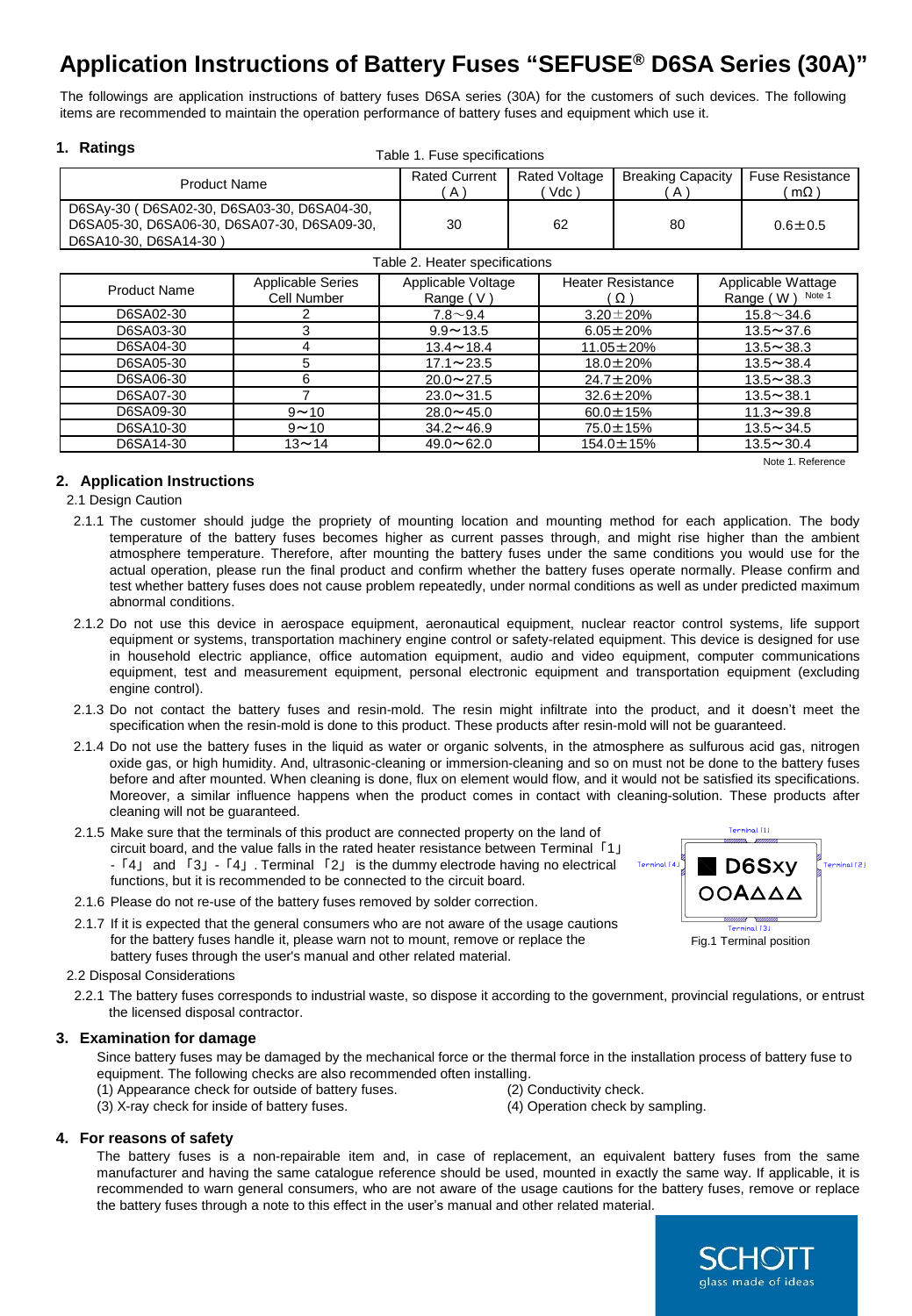## **Application Instructions of Battery Fuses "SEFUSE® D6SA Series (30A)"**

The followings are application instructions of battery fuses D6SA series (30A) for the customers of such devices. The following items are recommended to maintain the operation performance of battery fuses and equipment which use it.

| 1. Ratings<br>Table 1. Fuse specifications  |                      |               |                          |                        |  |
|---------------------------------------------|----------------------|---------------|--------------------------|------------------------|--|
| <b>Product Name</b>                         | <b>Rated Current</b> | Rated Voltage | <b>Breaking Capacity</b> | <b>Fuse Resistance</b> |  |
| D6SAy-30 (D6SA02-30, D6SA03-30, D6SA04-30,  | (A)                  | Vdc           | $A^{\prime}$             | $m\Omega$ )            |  |
| D6SA05-30, D6SA06-30, D6SA07-30, D6SA09-30, | 30                   | 62            | 80                       | $0.6 \pm 0.5$          |  |
| D6SA10-30, D6SA14-30)                       |                      |               |                          |                        |  |

|                     |                          | Table 2. Heater specifications |                          |                     |
|---------------------|--------------------------|--------------------------------|--------------------------|---------------------|
| <b>Product Name</b> | <b>Applicable Series</b> | Applicable Voltage             | <b>Heater Resistance</b> | Applicable Wattage  |
|                     | Cell Number              | Range (V)                      | Ω                        | Note 1<br>Range (W) |
| D6SA02-30           |                          | $7.8 \sim 9.4$                 | $3.20 \pm 20\%$          | $15.8 \sim 34.6$    |
| D6SA03-30           | 3                        | $9.9 - 13.5$                   | $6.05 \pm 20\%$          | $13.5 \sim 37.6$    |
| D6SA04-30           |                          | $13.4 \sim 18.4$               | $11.05 \pm 20\%$         | $13.5 \sim 38.3$    |
| D6SA05-30           | 5                        | $17.1 \sim 23.5$               | $18.0 \pm 20\%$          | $13.5 \sim 38.4$    |
| D6SA06-30           | 6                        | $20.0 \sim 27.5$               | $24.7 \pm 20\%$          | $13.5 \sim 38.3$    |
| D6SA07-30           |                          | $23.0 \sim 31.5$               | $32.6 \pm 20\%$          | $13.5 - 38.1$       |
| D6SA09-30           | $9 - 10$                 | $28.0 \sim 45.0$               | $60.0 \pm 15%$           | $11.3 \sim 39.8$    |
| D6SA10-30           | $9 - 10$                 | $34.2 \sim 46.9$               | 75.0 ± 15%               | $13.5 \sim 34.5$    |
| D6SA14-30           | $13 - 14$                | $49.0 \sim 62.0$               | $154.0 \pm 15%$          | $13.5 \sim 30.4$    |
|                     |                          |                                |                          | Note 1. Reference   |

## **2. Application Instructions**

2.1 Design Caution

- 2.1.1 The customer should judge the propriety of mounting location and mounting method for each application. The body temperature of the battery fuses becomes higher as current passes through, and might rise higher than the ambient atmosphere temperature. Therefore, after mounting the battery fuses under the same conditions you would use for the actual operation, please run the final product and confirm whether the battery fuses operate normally. Please confirm and test whether battery fuses does not cause problem repeatedly, under normal conditions as well as under predicted maximum abnormal conditions.
- 2.1.2 Do not use this device in aerospace equipment, aeronautical equipment, nuclear reactor control systems, life support equipment or systems, transportation machinery engine control or safety-related equipment. This device is designed for use in household electric appliance, office automation equipment, audio and video equipment, computer communications equipment, test and measurement equipment, personal electronic equipment and transportation equipment (excluding engine control).
- 2.1.3 Do not contact the battery fuses and resin-mold. The resin might infiltrate into the product, and it doesn't meet the specification when the resin-mold is done to this product. These products after resin-mold will not be guaranteed.
- 2.1.4 Do not use the battery fuses in the liquid as water or organic solvents, in the atmosphere as sulfurous acid gas, nitrogen oxide gas, or high humidity. And, ultrasonic-cleaning or immersion-cleaning and so on must not be done to the battery fuses before and after mounted. When cleaning is done, flux on element would flow, and it would not be satisfied its specifications. Moreover, a similar influence happens when the product comes in contact with cleaning-solution. These products after cleaning will not be guaranteed.
- 2.1.5 Make sure that the terminals of this product are connected property on the land of circuit board, and the value falls in the rated heater resistance between Terminal「1」 -「4」 and 「3」-「4」. Terminal 「2」 is the dummy electrode having no electrical functions, but it is recommended to be connected to the circuit board.
- 2.1.6 Please do not re-use of the battery fuses removed by solder correction.
- 2.1.7 If it is expected that the general consumers who are not aware of the usage cautions for the battery fuses handle it, please warn not to mount, remove or replace the battery fuses through the user's manual and other related material.

#### 2.2 Disposal Considerations

2.2.1 The battery fuses corresponds to industrial waste, so dispose it according to the government, provincial regulations, or entrust the licensed disposal contractor.

## **3. Examination for damage**

- Since battery fuses may be damaged by the mechanical force or the thermal force in the installation process of battery fuse to equipment. The following checks are also recommended often installing.
- (1) Appearance check for outside of battery fuses. (2) Conductivity check.
- (3) X-ray check for inside of battery fuses. (4) Operation check by sampling.
- -

## **4. For reasons of safety**

The battery fuses is a non-repairable item and, in case of replacement, an equivalent battery fuses from the same manufacturer and having the same catalogue reference should be used, mounted in exactly the same way. If applicable, it is recommended to warn general consumers, who are not aware of the usage cautions for the battery fuses, remove or replace the battery fuses through a note to this effect in the user's manual and other related material.



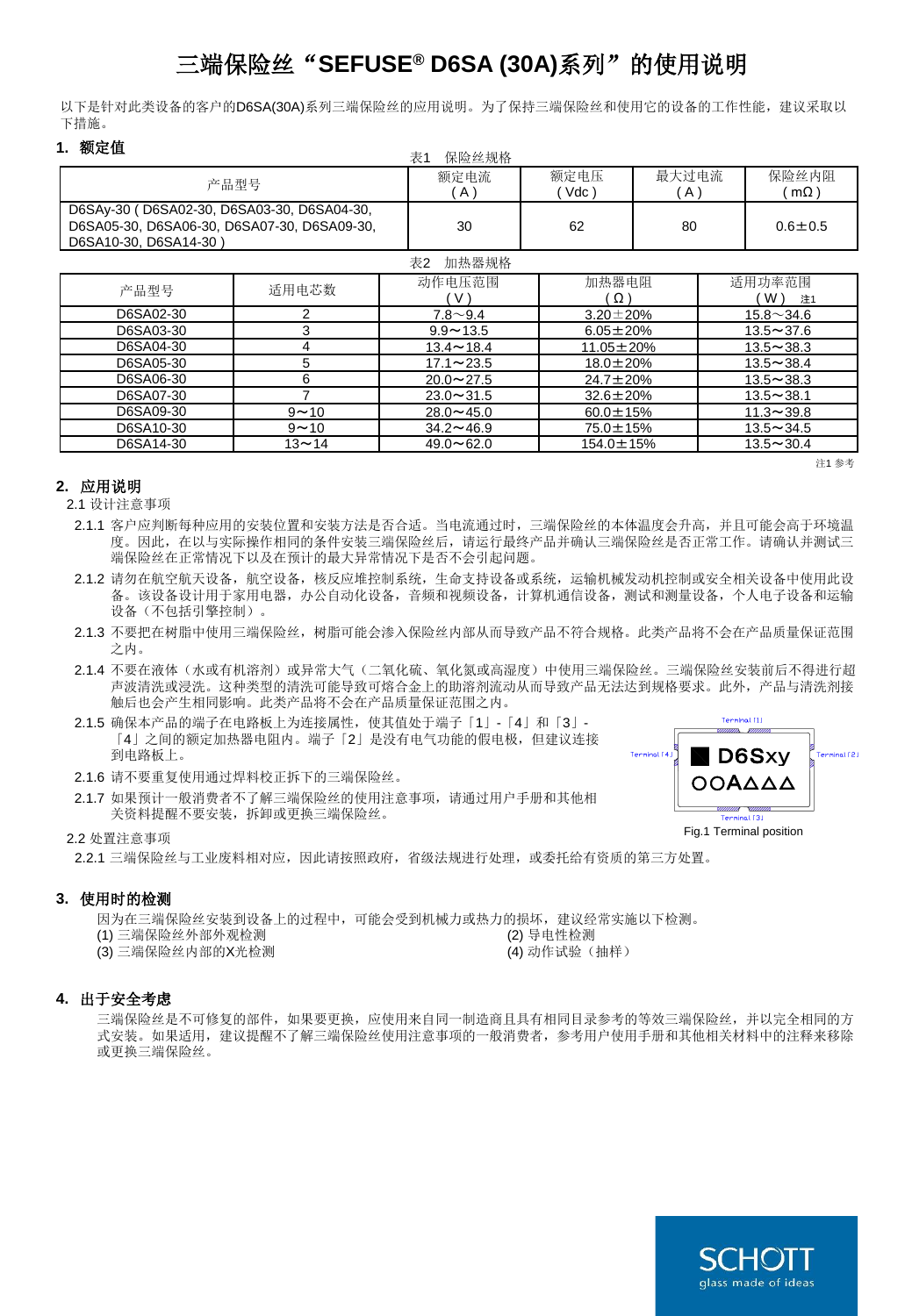## 三端保险丝"**SEFUSE® D6SA (30A)**系列"的使用说明

以下是针对此类设备的客户的D6SA(30A)系列三端保险丝的应用说明。为了保持三端保险丝和使用它的设备的工作性能,建议采取以 下措施。

 $\pm i$  (Fig. 1)  $\pm i$ 

## **1.** 额定值

|                                                                                                                    |           | 表1<br>保险丝规格             |                     |              |                    |  |
|--------------------------------------------------------------------------------------------------------------------|-----------|-------------------------|---------------------|--------------|--------------------|--|
|                                                                                                                    | 产品型号      | 额定电流<br>(A)             | 额定电压<br>Vdc)        | 最大过电流<br>(A) | 保险丝内阻<br>$\mod)$   |  |
| D6SAy-30 (D6SA02-30, D6SA03-30, D6SA04-30,<br>D6SA05-30, D6SA06-30, D6SA07-30, D6SA09-30,<br>D6SA10-30, D6SA14-30) |           | 30                      | 62<br>80            |              | $0.6 \pm 0.5$      |  |
| 加热器规格<br>表2                                                                                                        |           |                         |                     |              |                    |  |
| 产品型号                                                                                                               | 适用电芯数     | 动作电压范围<br>V             | 加热器电阻<br>$\Omega$ ) |              | 适用功率范围<br>W)<br>注1 |  |
| D6SA02-30                                                                                                          | 2         | $7.8 \sim 9.4$          | $3.20 \pm 20\%$     |              | $15.8 \sim 34.6$   |  |
| D6SA03-30                                                                                                          | 3         | $9.9 - 13.5$            | $6.05 \pm 20\%$     |              | $13.5 \sim 37.6$   |  |
| D6SA04-30                                                                                                          | 4         | $13.4 \sim 18.4$        | $11.05 \pm 20\%$    |              | $13.5 - 38.3$      |  |
| D6SA05-30                                                                                                          | 5         | $17.1 \sim 23.5$        | $18.0 \pm 20\%$     |              | $13.5 \sim 38.4$   |  |
| D6SA06-30                                                                                                          | 6         | $20.0 \sim 27.5$        | $24.7 \pm 20\%$     |              | $13.5 - 38.3$      |  |
| D6SA07-30                                                                                                          |           | $23.0 \sim 31.5$        | $32.6 \pm 20\%$     |              | $13.5 - 38.1$      |  |
| D6SA09-30                                                                                                          | $9 - 10$  | $28.0 \sim 45.0$        | $60.0 \pm 15%$      |              | $11.3 - 39.8$      |  |
| D6SA10-30                                                                                                          | $9 - 10$  | $34.2 \sim 46.9$        | 75.0 ± 15%          |              | $13.5 \sim 34.5$   |  |
| D6SA14-30                                                                                                          | $13 - 14$ | $49.0 \rightarrow 62.0$ | $154.0 \pm 15%$     |              | $13.5 \sim 30.4$   |  |

#### 注1 参考

## **2.** 应用说明

2.1 设计注意事项

- 2.1.1 客户应判断每种应用的安装位置和安装方法是否合适。当电流通过时,三端保险丝的本体温度会升高,并且可能会高于环境温 度。因此,在以与实际操作相同的条件安装三端保险丝后,请运行最终产品并确认三端保险丝是否正常工作。请确认并测试三 端保险丝在正常情况下以及在预计的最大异常情况下是否不会引起问题。
- 2.1.2 请勿在航空航天设备, 航空设备, 核反应堆控制系统, 生命支持设备或系统, 运输机械发动机控制或安全相关设备中使用此设 备。该设备设计用于家用电器,办公自动化设备,音频和视频设备,计算机通信设备,测试和测量设备,个人电子设备和运输 设备(不包括引擎控制)。
- 2.1.3 不要把在树脂中使用三端保险丝,树脂可能会渗入保险丝内部从而导致产品不符合规格。此类产品将不会在产品质量保证范围 之内。
- 2.1.4 不要在液体(水或有机溶剂)或异常大气(二氧化硫、氧化氮或高湿度)中使用三端保险丝。三端保险丝安装前后不得进行超 声波清洗或浸洗。这种类型的清洗可能导致可熔合金上的助溶剂流动从而导致产品无法达到规格要求。此外,产品与清洗剂接 触后也会产生相同影响。此类产品将不会在产品质量保证范围之内。
- 2.1.5 确保本产品的端子在电路板上为连接属性,使其值处于端子「1」-「4」和「3」- 「4」之间的额定加热器电阻内。端子「2」是没有电气功能的假电极,但建议连接 到电路板上。
- al (1) D6Sxy Terminal [4] erminal [2]  $OO$  $A \triangle$  $\triangle$  $\triangle$ uun vi Terminal [3]

2.1.6 请不要重复使用通过焊料校正拆下的三端保险丝。

2.1.7 如果预计一般消费者不了解三端保险丝的使用注意事项,请通过用户手册和其他相 关资料提醒不要安装,拆卸或更换三端保险丝。

## Fig.1 Terminal position 2.2 处置注意事项

2.2.1 三端保险丝与工业废料相对应,因此请按照政府,省级法规进行处理,或委托给有资质的第三方处置。

#### **3.** 使用时的检测

因为在三端保险丝安装到设备上的过程中,可能会受到机械力或热力的损坏,建议经常实施以下检测。

- (1) 三端保险丝外部外观检测 (2) 导电性检测
- (3) 三端保险丝内部的X光检测 (4) 动作试验(抽样)

#### **4.** 出于安全考虑

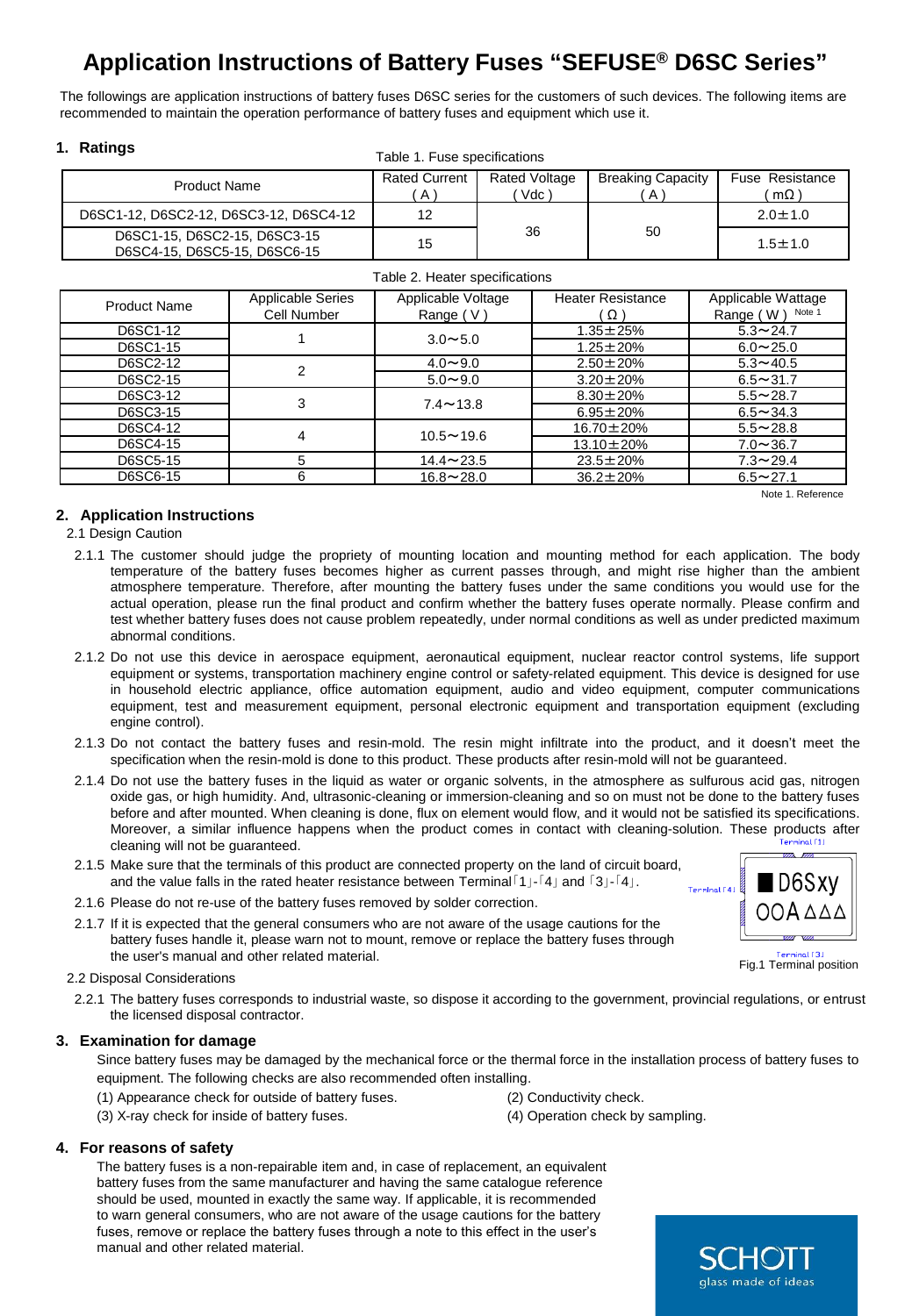## **Application Instructions of Battery Fuses "SEFUSE® D6SC Series"**

The followings are application instructions of battery fuses D6SC series for the customers of such devices. The following items are recommended to maintain the operation performance of battery fuses and equipment which use it.

Table 1. Fuse specifications

## **1. Ratings**

| Table T. Fuse specifications                                 |                               |                      |                                |                                |  |  |
|--------------------------------------------------------------|-------------------------------|----------------------|--------------------------------|--------------------------------|--|--|
| <b>Product Name</b>                                          | <b>Rated Current</b><br>. A ' | Rated Voltage<br>Vdc | <b>Breaking Capacity</b><br>A' | Fuse Resistance<br>$m\Omega$ ) |  |  |
| D6SC1-12, D6SC2-12, D6SC3-12, D6SC4-12                       | 12                            |                      |                                | $2.0 \pm 1.0$                  |  |  |
| D6SC1-15, D6SC2-15, D6SC3-15<br>D6SC4-15, D6SC5-15, D6SC6-15 | 15                            | 36                   | 50                             | $1.5 \pm 1.0$                  |  |  |

| <b>Product Name</b> | <b>Applicable Series</b> | Applicable Voltage | <b>Heater Resistance</b> | Applicable Wattage |
|---------------------|--------------------------|--------------------|--------------------------|--------------------|
|                     | Cell Number              | Range $(V)$        | Ω                        | Range (W) Note 1   |
| D6SC1-12            |                          | $3.0 - 5.0$        | $1.35 \pm 25\%$          | $5.3 \sim 24.7$    |
| D6SC1-15            |                          |                    | $1.25 \pm 20%$           | $6.0 \sim 25.0$    |
| D6SC2-12            | ົ                        | $4.0 \sim 9.0$     | $2.50 \pm 20%$           | $5.3 \sim 40.5$    |
| D6SC2-15            |                          | $5.0 - 9.0$        | $3.20 \pm 20\%$          | $6.5 \sim 31.7$    |
| D6SC3-12            | 3                        | $7.4 \sim 13.8$    | $8.30 \pm 20\%$          | $5.5 - 28.7$       |
| D6SC3-15            |                          |                    | $6.95 \pm 20\%$          | $6.5 \sim 34.3$    |
| D6SC4-12            |                          | $10.5 - 19.6$      | 16.70 ± 20%              | $5.5 - 28.8$       |
| D6SC4-15            |                          |                    | $13.10 \pm 20\%$         | $7.0 \sim 36.7$    |
| D6SC5-15            | 5                        | $14.4 \sim 23.5$   | $23.5 \pm 20\%$          | $7.3 - 29.4$       |
| D6SC6-15            | 6                        | $16.8 \sim 28.0$   | $36.2 \pm 20%$           | $6.5 \sim 27.1$    |
|                     |                          |                    |                          | Note 1. Reference  |

## Table 2. Heater specifications

## **2. Application Instructions**

2.1 Design Caution

- 2.1.1 The customer should judge the propriety of mounting location and mounting method for each application. The body temperature of the battery fuses becomes higher as current passes through, and might rise higher than the ambient atmosphere temperature. Therefore, after mounting the battery fuses under the same conditions you would use for the actual operation, please run the final product and confirm whether the battery fuses operate normally. Please confirm and test whether battery fuses does not cause problem repeatedly, under normal conditions as well as under predicted maximum abnormal conditions.
- 2.1.2 Do not use this device in aerospace equipment, aeronautical equipment, nuclear reactor control systems, life support equipment or systems, transportation machinery engine control or safety-related equipment. This device is designed for use in household electric appliance, office automation equipment, audio and video equipment, computer communications equipment, test and measurement equipment, personal electronic equipment and transportation equipment (excluding engine control).
- 2.1.3 Do not contact the battery fuses and resin-mold. The resin might infiltrate into the product, and it doesn't meet the specification when the resin-mold is done to this product. These products after resin-mold will not be guaranteed.
- 2.1.4 Do not use the battery fuses in the liquid as water or organic solvents, in the atmosphere as sulfurous acid gas, nitrogen oxide gas, or high humidity. And, ultrasonic-cleaning or immersion-cleaning and so on must not be done to the battery fuses before and after mounted. When cleaning is done, flux on element would flow, and it would not be satisfied its specifications. Moreover, a similar influence happens when the product comes in contact with cleaning-solution. These products after cleaning will not be guaranteed.
- 2.1.5 Make sure that the terminals of this product are connected property on the land of circuit board, and the value falls in the rated heater resistance between Terminal  $[1]-[4]$  and  $[3]-[4]$ .
- 2.1.6 Please do not re-use of the battery fuses removed by solder correction.
- 2.1.7 If it is expected that the general consumers who are not aware of the usage cautions for the battery fuses handle it, please warn not to mount, remove or replace the battery fuses through the user's manual and other related material.<br>Fig.1 Terminal position and other related material.

#### 2.2 Disposal Considerations

2.2.1 The battery fuses corresponds to industrial waste, so dispose it according to the government, provincial regulations, or entrust the licensed disposal contractor.

## **3. Examination for damage**

Since battery fuses may be damaged by the mechanical force or the thermal force in the installation process of battery fuses to equipment. The following checks are also recommended often installing.

- (1) Appearance check for outside of battery fuses. (2) Conductivity check.
- (3) X-ray check for inside of battery fuses. (4) Operation check by sampling.
- -

## **4. For reasons of safety**

The battery fuses is a non-repairable item and, in case of replacement, an equivalent battery fuses from the same manufacturer and having the same catalogue reference should be used, mounted in exactly the same way. If applicable, it is recommended to warn general consumers, who are not aware of the usage cautions for the battery fuses, remove or replace the battery fuses through a note to this effect in the user's manual and other related material.



glass made of ideas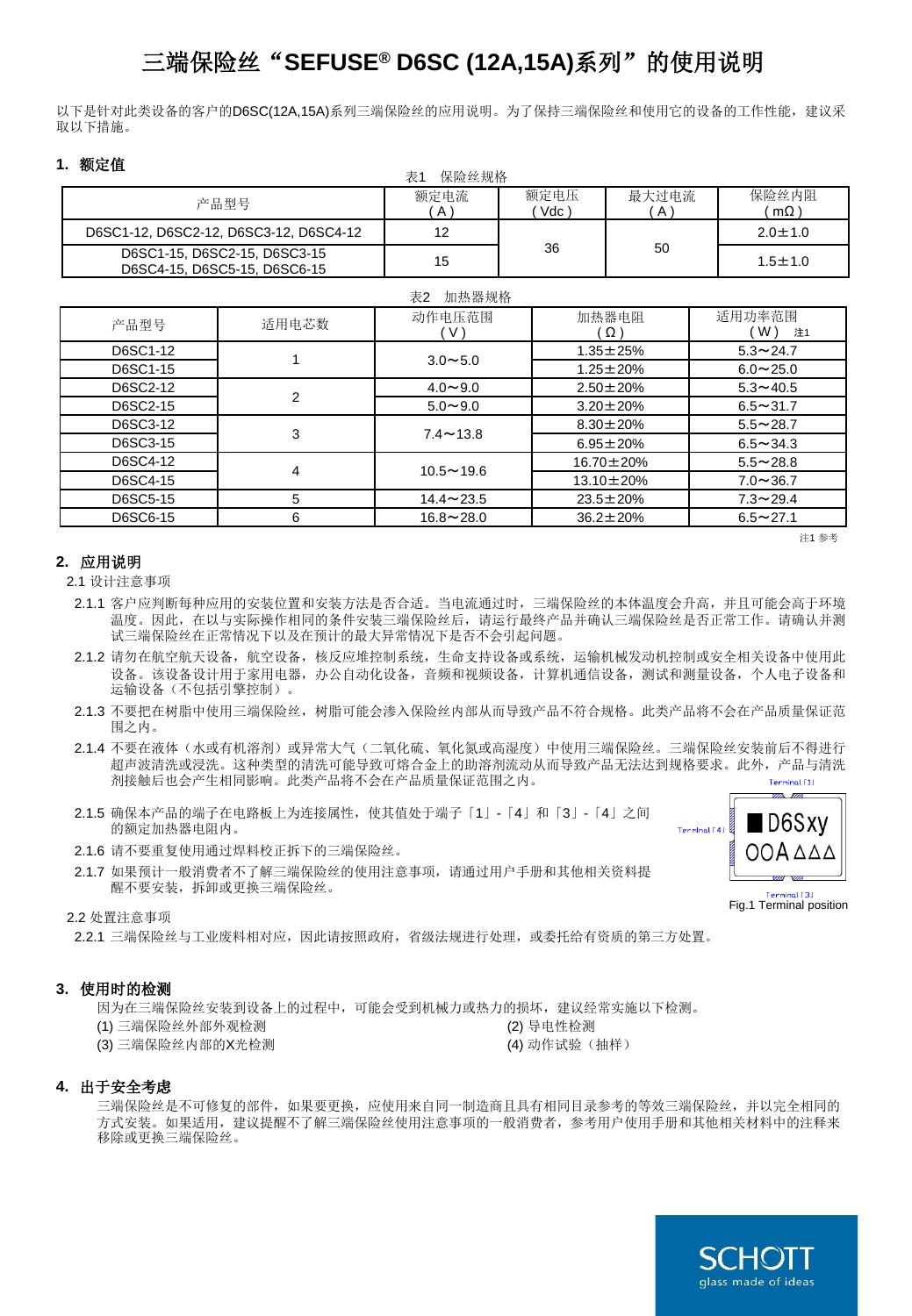## 三端保险丝"**SEFUSE® D6SC (12A,15A)**系列"的使用说明

以下是针对此类设备的客户的D6SC(12A,15A)系列三端保险丝的应用说明。为了保持三端保险丝和使用它的设备的工作性能,建议采 取以下措施。

## **1.** 额定值

|          |                                                              | 保险丝规格<br>表1      |                 |                     |                    |
|----------|--------------------------------------------------------------|------------------|-----------------|---------------------|--------------------|
|          | 产品型号                                                         | 额定电流<br>(A)      | 额定电压<br>$Vdc$ ) | 最大过电流<br>(A)        | 保险丝内阻<br>mΩ        |
|          | D6SC1-12, D6SC2-12, D6SC3-12, D6SC4-12                       | 12               |                 |                     | $2.0 \pm 1.0$      |
|          | D6SC1-15, D6SC2-15, D6SC3-15<br>D6SC4-15, D6SC5-15, D6SC6-15 | 15               | 36              | 50                  | $1.5 \pm 1.0$      |
|          |                                                              | 加热器规格<br>表2      |                 |                     |                    |
| 产品型号     | 适用电芯数                                                        | 动作电压范围<br>V)     |                 | 加热器电阻<br>$\Omega$ ) | 适用功率范围<br>W)<br>注1 |
| D6SC1-12 |                                                              | $3.0 - 5.0$      |                 | $1.35 \pm 25%$      | $5.3 \sim 24.7$    |
| D6SC1-15 |                                                              |                  |                 | $1.25 \pm 20\%$     | $6.0 \sim 25.0$    |
| D6SC2-12 | $\overline{2}$                                               | $4.0 - 9.0$      |                 | $2.50 \pm 20\%$     | $5.3 \sim 40.5$    |
| D6SC2-15 |                                                              | $5.0 - 9.0$      |                 | $3.20 \pm 20\%$     | $6.5 \sim 31.7$    |
| D6SC3-12 | 3                                                            | $7.4 \sim 13.8$  |                 | $8.30 \pm 20\%$     | $5.5 \sim 28.7$    |
| D6SC3-15 |                                                              |                  |                 | $6.95 \pm 20\%$     | $6.5 \sim 34.3$    |
| D6SC4-12 |                                                              |                  |                 | 16.70 ± 20%         | $5.5 - 28.8$       |
| D6SC4-15 | 4                                                            | $10.5 - 19.6$    |                 | $13.10 \pm 20\%$    | $7.0 \sim 36.7$    |
| D6SC5-15 | 5                                                            | $14.4 \sim 23.5$ |                 | $23.5 \pm 20\%$     | $7.3 \sim 29.4$    |
| D6SC6-15 | 6                                                            | $16.8 \sim 28.0$ |                 | $36.2 \pm 20%$      | $6.5 \sim 27.1$    |

注1 参考

## **2.** 应用说明

2.1 设计注意事项

- 2.1.1 客户应判断每种应用的安装位置和安装方法是否合适。当电流通过时,三端保险丝的本体温度会升高,并且可能会高于环境 温度。因此,在以与实际操作相同的条件安装三端保险丝后,请运行最终产品并确认三端保险丝是否正常工作。请确认并测 试三端保险丝在正常情况下以及在预计的最大异常情况下是否不会引起问题。
- 2.1.2 请勿在航空航天设备, 航空设备,核反应堆控制系统, 生命支持设备或系统, 运输机械发动机控制或安全相关设备中使用此 设备。该设备设计用于家用电器,办公自动化设备,音频和视频设备,计算机通信设备,测试和测量设备,个人电子设备和 运输设备(不包括引擎控制)。
- 2.1.3 不要把在树脂中使用三端保险丝,树脂可能会渗入保险丝内部从而导致产品不符合规格。此类产品将不会在产品质量保证范 围之内。
- 2.1.4 不要在液体(水或有机溶剂)或异常大气(二氧化硫、氧化氮或高湿度)中使用三端保险丝。三端保险丝安装前后不得进行 超声波清洗或浸洗。这种类型的清洗可能导致可熔合金上的助溶剂流动从而导致产品无法达到规格要求。此外,产品与清洗 剂接触后也会产生相同影响。此类产品将不会在产品质量保证范围之内。 Terminal [1]
- 2.1.5 确保本产品的端子在电路板上为连接属性,使其值处于端子「1」-「4」和「3」-「4」之间 的额定加热器电阻内。
- 2.1.6 请不要重复使用通过焊料校正拆下的三端保险丝。
- 2.1.7 如果预计一般消费者不了解三端保险丝的使用注意事项,请通过用户手册和其他相关资料提 醒不要安装,拆卸或更换三端保险丝。



2.2 处置注意事项

2.2.1 三端保险丝与工业废料相对应,因此请按照政府,省级法规进行处理,或委托给有资质的第三方处置。

#### **3.** 使用时的检测

因为在三端保险丝安装到设备上的过程中,可能会受到机械力或热力的损坏,建议经常实施以下检测。

(1) 三端保险丝外部外观检测 (2) 导电性检测

(3) 三端保险丝内部的X光检测 (5) 2000 - 2000 - 2000 - 2000 - 2000 - 2000 - 2000 - 2000 - 2000 - 2000 - 2000 - 2000 - 2000 -

#### **4.** 出于安全考虑

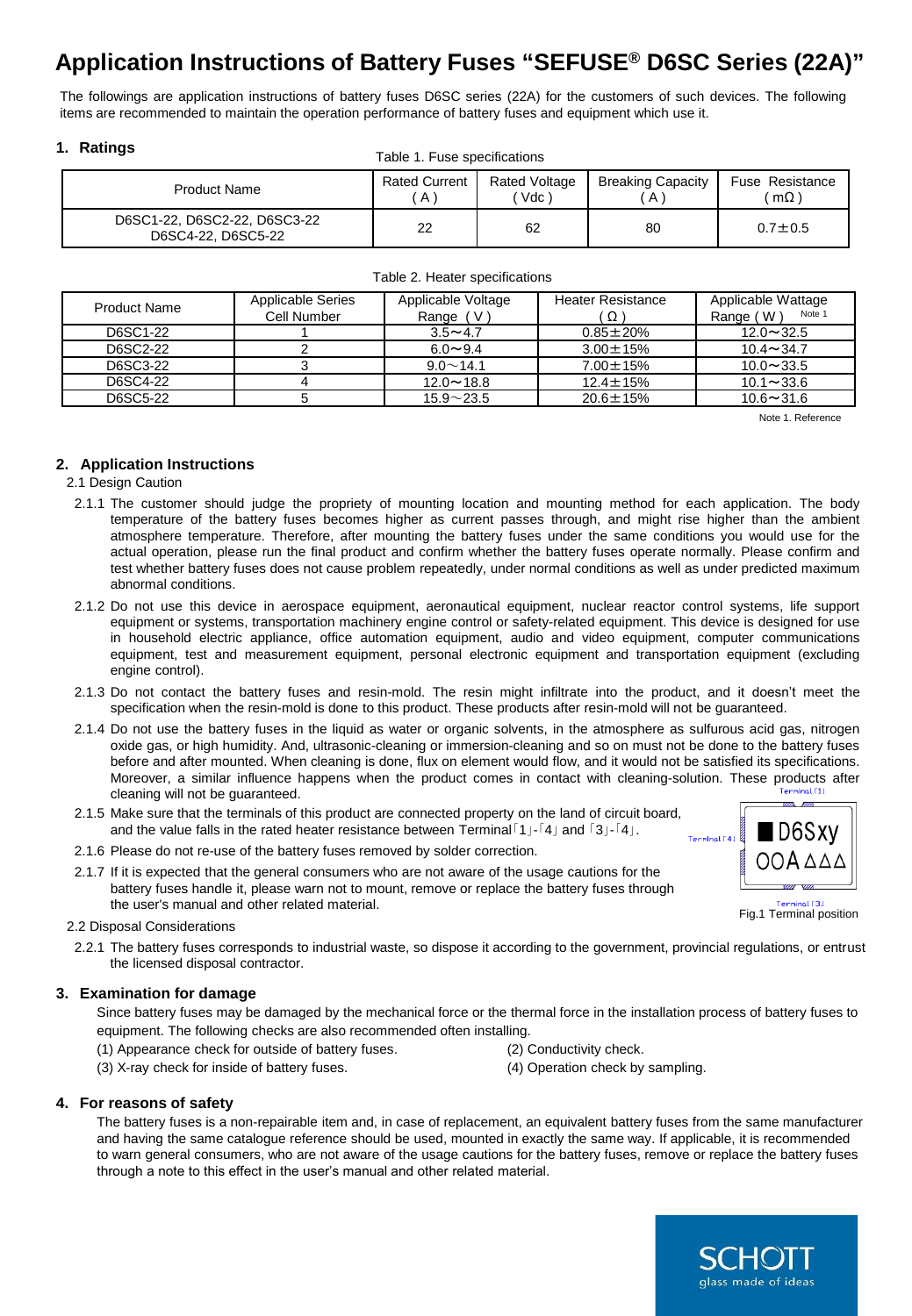## **Application Instructions of Battery Fuses "SEFUSE® D6SC Series (22A)"**

The followings are application instructions of battery fuses D6SC series (22A) for the customers of such devices. The following items are recommended to maintain the operation performance of battery fuses and equipment which use it.

| <b>1. INGUILLYS</b>                                | Table 1. Fuse specifications        |                      |                          |                                       |
|----------------------------------------------------|-------------------------------------|----------------------|--------------------------|---------------------------------------|
| <b>Product Name</b>                                | <b>Rated Current</b><br>$A^{\circ}$ | Rated Voltage<br>Vdc | <b>Breaking Capacity</b> | <b>Fuse Resistance</b><br>$m\Omega$ ) |
| D6SC1-22, D6SC2-22, D6SC3-22<br>D6SC4-22, D6SC5-22 | 22                                  | 62                   | 80                       | $0.7 \pm 0.5$                         |

| <b>Product Name</b> | <b>Applicable Series</b> | Applicable Voltage | Heater Resistance | Applicable Wattage      |
|---------------------|--------------------------|--------------------|-------------------|-------------------------|
|                     | Cell Number              | Range $(V)$        | ו Ω               | Note 1<br>Range (W)     |
| D6SC1-22            |                          | $3.5 - 4.7$        | $0.85 \pm 20\%$   | $12.0 \rightarrow 32.5$ |
| D6SC2-22            |                          | $6.0 - 9.4$        | $3.00 \pm 15%$    | $10.4 \sim 34.7$        |
| D6SC3-22            |                          | $9.0 \sim 14.1$    | $7.00 \pm 15\%$   | $10.0 \sim 33.5$        |
| D6SC4-22            |                          | $12.0 \sim 18.8$   | $12.4 \pm 15%$    | $10.1 \sim 33.6$        |
| D6SC5-22            |                          | $15.9 \sim 23.5$   | $20.6 \pm 15%$    | $10.6 \sim 31.6$        |

#### Table 2. Heater specifications

Note 1. Reference

## **2. Application Instructions**

2.1 Design Caution

**1. Ratings**

- 2.1.1 The customer should judge the propriety of mounting location and mounting method for each application. The body temperature of the battery fuses becomes higher as current passes through, and might rise higher than the ambient atmosphere temperature. Therefore, after mounting the battery fuses under the same conditions you would use for the actual operation, please run the final product and confirm whether the battery fuses operate normally. Please confirm and test whether battery fuses does not cause problem repeatedly, under normal conditions as well as under predicted maximum abnormal conditions.
- 2.1.2 Do not use this device in aerospace equipment, aeronautical equipment, nuclear reactor control systems, life support equipment or systems, transportation machinery engine control or safety-related equipment. This device is designed for use in household electric appliance, office automation equipment, audio and video equipment, computer communications equipment, test and measurement equipment, personal electronic equipment and transportation equipment (excluding engine control).
- 2.1.3 Do not contact the battery fuses and resin-mold. The resin might infiltrate into the product, and it doesn't meet the specification when the resin-mold is done to this product. These products after resin-mold will not be guaranteed.
- 2.1.4 Do not use the battery fuses in the liquid as water or organic solvents, in the atmosphere as sulfurous acid gas, nitrogen oxide gas, or high humidity. And, ultrasonic-cleaning or immersion-cleaning and so on must not be done to the battery fuses before and after mounted. When cleaning is done, flux on element would flow, and it would not be satisfied its specifications. Moreover, a similar influence happens when the product comes in contact with cleaning-solution. These products after cleaning will not be guaranteed.
- 2.1.5 Make sure that the terminals of this product are connected property on the land of circuit board, and the value falls in the rated heater resistance between Terminal「1」-「4」 and 「3」-「4」.
- 2.1.6 Please do not re-use of the battery fuses removed by solder correction.
- 2.1.7 If it is expected that the general consumers who are not aware of the usage cautions for the battery fuses handle it, please warn not to mount, remove or replace the battery fuses through the user's manual and other related material.<br>Fig.1 Terminal position and other related material.
- 2.2 Disposal Considerations
- 2.2.1 The battery fuses corresponds to industrial waste, so dispose it according to the government, provincial regulations, or entrust the licensed disposal contractor.

## **3. Examination for damage**

Since battery fuses may be damaged by the mechanical force or the thermal force in the installation process of battery fuses to equipment. The following checks are also recommended often installing.

- (1) Appearance check for outside of battery fuses. (2) Conductivity check.
- (3) X-ray check for inside of battery fuses. (4) Operation check by sampling.
- -

## **4. For reasons of safety**

The battery fuses is a non-repairable item and, in case of replacement, an equivalent battery fuses from the same manufacturer and having the same catalogue reference should be used, mounted in exactly the same way. If applicable, it is recommended to warn general consumers, who are not aware of the usage cautions for the battery fuses, remove or replace the battery fuses through a note to this effect in the user's manual and other related material.



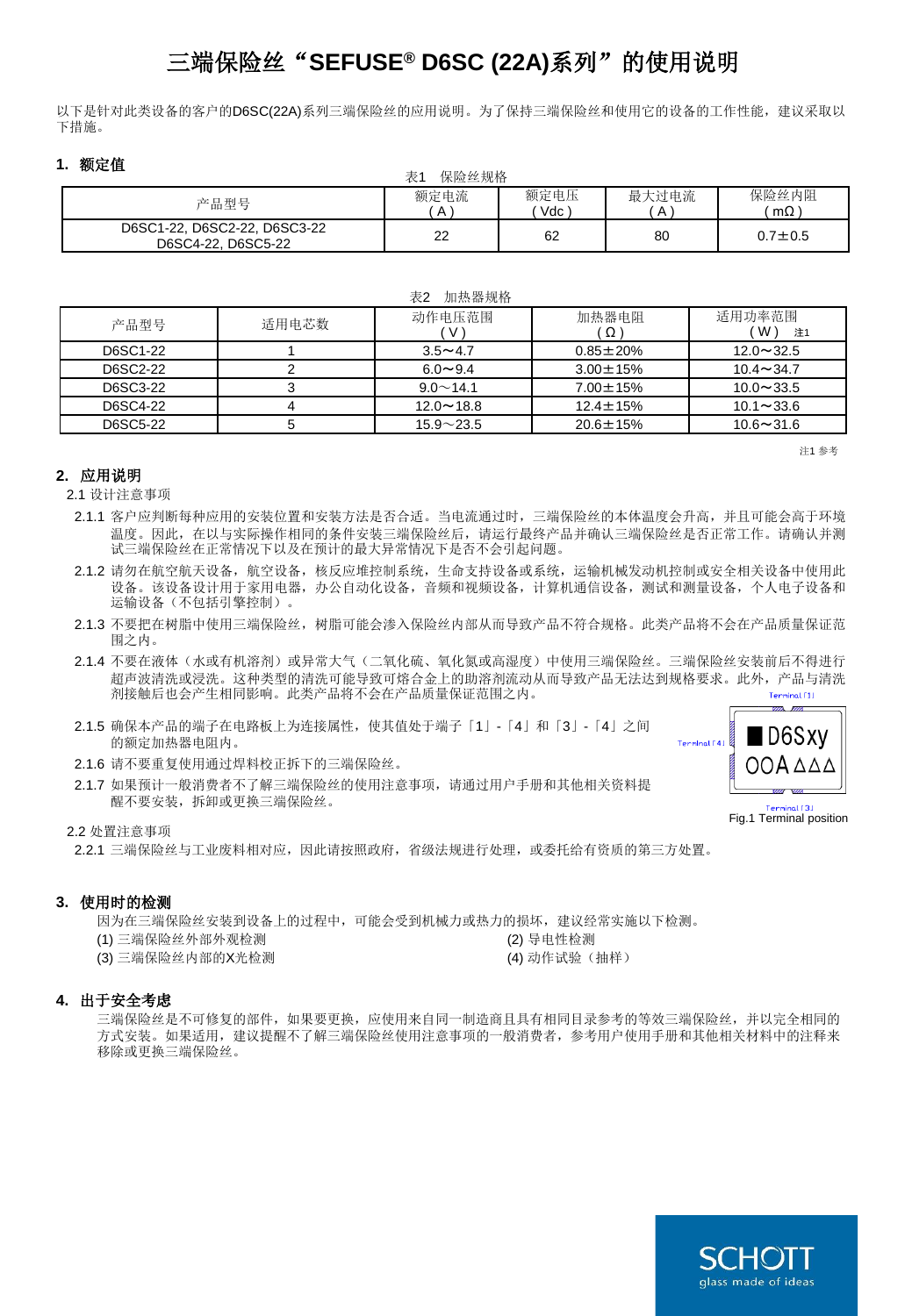## 三端保险丝"**SEFUSE® D6SC (22A)**系列"的使用说明

以下是针对此类设备的客户的D6SC(22A)系列三端保险丝的应用说明。为了保持三端保险丝和使用它的设备的工作性能,建议采取以 下措施。

## **1.** 额定值

| ⋯⋯™                                                | 保险丝规格<br>表1          |              |                       |                    |
|----------------------------------------------------|----------------------|--------------|-----------------------|--------------------|
| 产品型号                                               | 额定电流<br>$\mathsf{A}$ | 额定电压<br>Vdc. | 最大过电流<br>$\mathsf{A}$ | 保险丝内阻<br>$m\Omega$ |
| D6SC1-22, D6SC2-22, D6SC3-22<br>D6SC4-22, D6SC5-22 | 22                   | 62           | 80                    | $0.7 + 0.5$        |

丰? 加热器频核

| KL ∠<br>刀目光学 有许 万光斗目 |       |                  |                 |                         |  |  |
|----------------------|-------|------------------|-----------------|-------------------------|--|--|
| 产品型号                 | 适用电芯数 | 动作电压范围           | 加热器电阻<br>Ω      | 适用功率范围<br>W<br>注1       |  |  |
| D6SC1-22             |       | $3.5 - 4.7$      | $0.85 \pm 20\%$ | $12.0 \rightarrow 32.5$ |  |  |
| D6SC2-22             |       | $6.0 \sim 9.4$   | $3.00 \pm 15\%$ | $10.4 \sim 34.7$        |  |  |
| D6SC3-22             |       | $9.0 \sim 14.1$  | $7.00 \pm 15\%$ | $10.0 \sim 33.5$        |  |  |
| D6SC4-22             |       | $12.0 \sim 18.8$ | $12.4 \pm 15\%$ | $10.1 \sim 33.6$        |  |  |
| D6SC5-22             |       | $15.9 \sim 23.5$ | $20.6 \pm 15\%$ | $10.6 \sim 31.6$        |  |  |

注1 参考

#### **2.** 应用说明

2.1 设计注意事项

- 2.1.1 客户应判断每种应用的安装位置和安装方法是否合适。当电流通过时,三端保险丝的本体温度会升高,并且可能会高于环境 温度。因此,在以与实际操作相同的条件安装三端保险丝后,请运行最终产品并确认三端保险丝是否正常工作。请确认并测 试三端保险丝在正常情况下以及在预计的最大异常情况下是否不会引起问题。
- 2.1.2 请勿在航空航天设备, 航空设备,核反应堆控制系统, 生命支持设备或系统, 运输机械发动机控制或安全相关设备中使用此 设备。该设备设计用于家用电器,办公自动化设备,音频和视频设备,计算机通信设备,测试和测量设备,个人电子设备和 运输设备(不包括引擎控制)。
- 2.1.3 不要把在树脂中使用三端保险丝,树脂可能会渗入保险丝内部从而导致产品不符合规格。此类产品将不会在产品质量保证范 围之内。
- 2.1.4 不要在液体(水或有机溶剂)或异常大气(二氧化硫、氧化氮或高湿度)中使用三端保险丝。三端保险丝安装前后不得进行 超声波清洗或浸洗。这种类型的清洗可能导致可熔合金上的助溶剂流动从而导致产品无法达到规格要求。此外,产品与清洗 剂接触后也会产生相同影响。此类产品将不会在产品质量保证范围之内。 Terminal [1]
- 2.1.5 确保本产品的端子在电路板上为连接属性,使其值处于端子「1」-「4」和「3」-「4」之间 的额定加热器电阻内。



glass made of ideas

- 2.1.6 请不要重复使用通过焊料校正拆下的三端保险丝。
- 2.1.7 如果预计一般消费者不了解三端保险丝的使用注意事项,请通过用户手册和其他相关资料提 醒不要安装,拆卸或更换三端保险丝。

Fig.1 Terminal position

#### 2.2 处置注意事项

2.2.1 三端保险丝与工业废料相对应,因此请按照政府,省级法规进行处理,或委托给有资质的第三方处置。

#### **3.** 使用时的检测

因为在三端保险丝安装到设备上的过程中,可能会受到机械力或热力的损坏,建议经常实施以下检测。 (1) 三端保险丝外部外观检测 (2) 导电性检测

- 
- 

(3) 三端保险丝内部的X光检测 (4) 动作试验(抽样)

## **4.** 出于安全考虑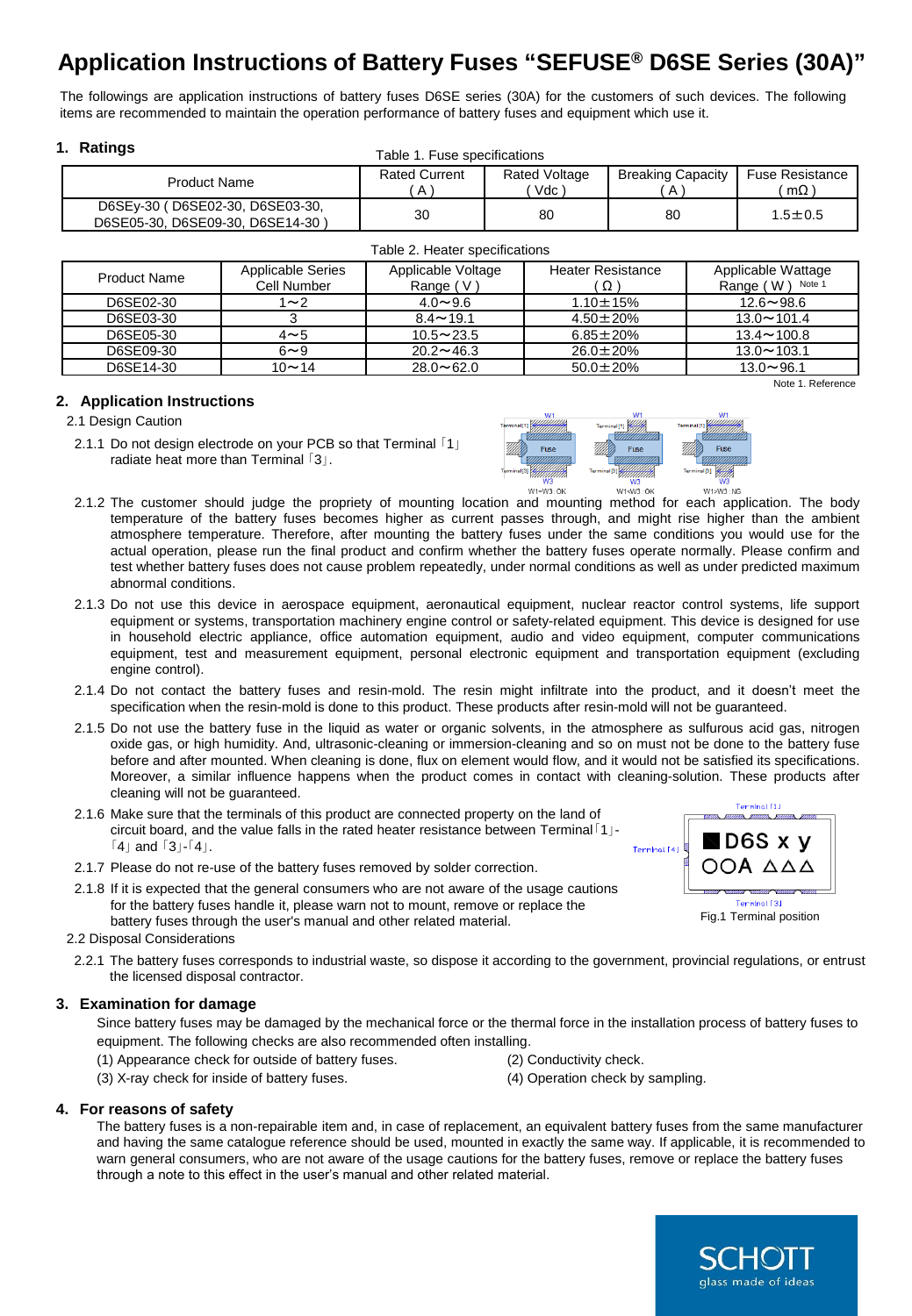# **Application Instructions of Battery Fuses "SEFUSE® D6SE Series (30A)"**

The followings are application instructions of battery fuses D6SE series (30A) for the customers of such devices. The following items are recommended to maintain the operation performance of battery fuses and equipment which use it.

### **1. Ratings**

| ı. Rauliyə                                                          | Table 1. Fuse specifications         |                          |                               |                                       |
|---------------------------------------------------------------------|--------------------------------------|--------------------------|-------------------------------|---------------------------------------|
| <b>Product Name</b>                                                 | <b>Rated Current</b><br>$\mathsf{A}$ | Rated Voltage<br>$Vdc$ ) | <b>Breaking Capacity</b><br>A | <b>Fuse Resistance</b><br>$m\Omega$ ) |
| D6SEy-30 (D6SE02-30, D6SE03-30,<br>D6SE05-30, D6SE09-30, D6SE14-30) | 30                                   | 80                       | 80                            | $1.5 \pm 0.5$                         |

| <b>Product Name</b> | <b>Applicable Series</b><br>Cell Number | Applicable Voltage<br>Range $(V)$ | <b>Heater Resistance</b><br>Ω. | Applicable Wattage<br>Note 1<br>Range (W) |
|---------------------|-----------------------------------------|-----------------------------------|--------------------------------|-------------------------------------------|
| D6SE02-30           | 1 $\sim$ 2                              | $4.0 - 9.6$                       | $1.10 \pm 15%$                 | $12.6 - 98.6$                             |
| D6SE03-30           |                                         | $8.4 \sim 19.1$                   | $4.50 \pm 20%$                 | $13.0 \sim 101.4$                         |
| D6SE05-30           | $4\nu 5$                                | $10.5 \sim 23.5$                  | $6.85 \pm 20\%$                | $13.4 \sim 100.8$                         |
| D6SE09-30           | $6 - 9$                                 | $20.2 \sim 46.3$                  | $26.0 \pm 20\%$                | $13.0 \sim 103.1$                         |
| D6SE14-30           | $10 - 14$                               | $28.0 \rightarrow 62.0$           | $50.0 \pm 20\%$                | $13.0 \rightarrow 96.1$                   |

#### Table 2. Heater specifications

Note 1. Reference

## **2. Application Instructions**

2.1 Design Caution

2.1.1 Do not design electrode on your PCB so that Terminal 「1」 radiate heat more than Terminal 「3」.



- 2.1.2 The customer should judge the propriety of mounting location and mounting method for each application. The body temperature of the battery fuses becomes higher as current passes through, and might rise higher than the ambient atmosphere temperature. Therefore, after mounting the battery fuses under the same conditions you would use for the actual operation, please run the final product and confirm whether the battery fuses operate normally. Please confirm and test whether battery fuses does not cause problem repeatedly, under normal conditions as well as under predicted maximum abnormal conditions.
- 2.1.3 Do not use this device in aerospace equipment, aeronautical equipment, nuclear reactor control systems, life support equipment or systems, transportation machinery engine control or safety-related equipment. This device is designed for use in household electric appliance, office automation equipment, audio and video equipment, computer communications equipment, test and measurement equipment, personal electronic equipment and transportation equipment (excluding engine control).
- 2.1.4 Do not contact the battery fuses and resin-mold. The resin might infiltrate into the product, and it doesn't meet the specification when the resin-mold is done to this product. These products after resin-mold will not be guaranteed.
- 2.1.5 Do not use the battery fuse in the liquid as water or organic solvents, in the atmosphere as sulfurous acid gas, nitrogen oxide gas, or high humidity. And, ultrasonic-cleaning or immersion-cleaning and so on must not be done to the battery fuse before and after mounted. When cleaning is done, flux on element would flow, and it would not be satisfied its specifications. Moreover, a similar influence happens when the product comes in contact with cleaning-solution. These products after cleaning will not be guaranteed.
- 2.1.6 Make sure that the terminals of this product are connected property on the land of circuit board, and the value falls in the rated heater resistance between Terminal [1]- $\lceil 4 \rfloor$  and  $\lceil 3 \rfloor$ - $\lceil 4 \rfloor$ .
- 2.1.7 Please do not re-use of the battery fuses removed by solder correction.
- 2.1.8 If it is expected that the general consumers who are not aware of the usage cautions for the battery fuses handle it, please warn not to mount, remove or replace the battery fuses through the user's manual and other related material. Fig.1 Terminal position

2.2 Disposal Considerations

2.2.1 The battery fuses corresponds to industrial waste, so dispose it according to the government, provincial regulations, or entrust the licensed disposal contractor.

## **3. Examination for damage**

Since battery fuses may be damaged by the mechanical force or the thermal force in the installation process of battery fuses to equipment. The following checks are also recommended often installing.

- (1) Appearance check for outside of battery fuses. (2) Conductivity check.
- (3) X-ray check for inside of battery fuses. (4) Operation check by sampling.
- -

## **4. For reasons of safety**

The battery fuses is a non-repairable item and, in case of replacement, an equivalent battery fuses from the same manufacturer and having the same catalogue reference should be used, mounted in exactly the same way. If applicable, it is recommended to warn general consumers, who are not aware of the usage cautions for the battery fuses, remove or replace the battery fuses through a note to this effect in the user's manual and other related material.



plass made of ideas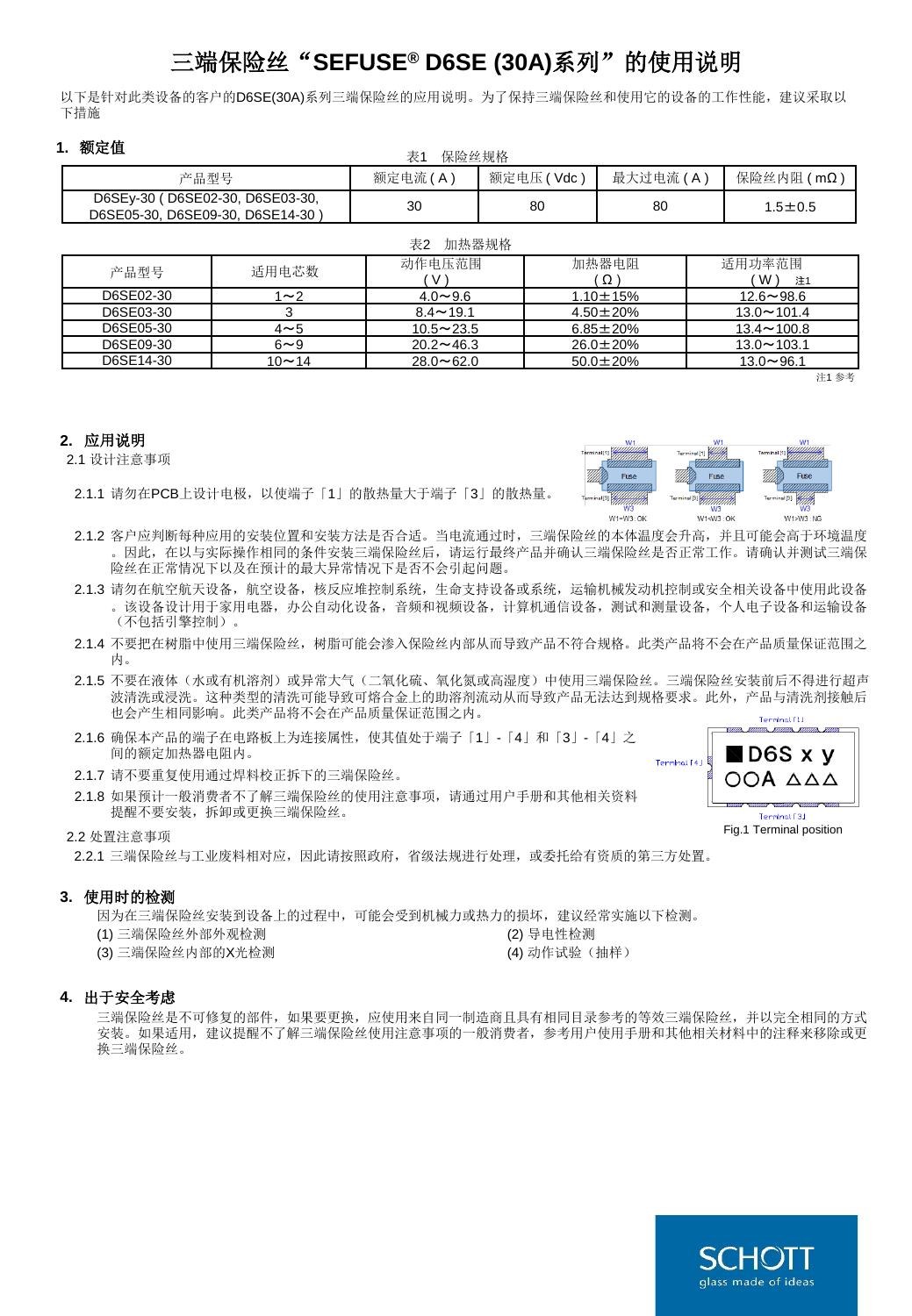## 三端保险丝"**SEFUSE® D6SE (30A)**系列"的使用说明

以下是针对此类设备的客户的D6SE(30A)系列三端保险丝的应用说明。为了保持三端保险丝和使用它的设备的工作性能,建议采取以 下措施

主4 促陷丛植物

## **1.** 额定值

| 4X I<br>木ツ兰が竹                                                       |            |                                     |                       |            |                          |  |
|---------------------------------------------------------------------|------------|-------------------------------------|-----------------------|------------|--------------------------|--|
| 产品型号                                                                |            | 额定电流(A)                             | 额定电压(Vdc)<br>最大过电流(A) |            | 保险丝内阻 (mΩ)               |  |
| D6SEy-30 (D6SE02-30, D6SE03-30,<br>D6SE05-30, D6SE09-30, D6SE14-30) |            | 30                                  | 80                    | 80         | $1.5 \pm 0.5$            |  |
| 表2 加热器规格                                                            |            |                                     |                       |            |                          |  |
| 产品型号                                                                | 适用电芯数      | 动作电压范围                              |                       | 加热器电阻<br>Ω | 适用功率范围<br>W)<br>注1       |  |
| D6SE02-30                                                           | $1 - 2$    | $4.0 \sim 9.6$                      | $1.10 \pm 15%$        |            | $12.6 - 98.6$            |  |
| D6SE03-30                                                           |            | $8.4 \sim 19.1$<br>$4.50 \pm 20\%$  |                       |            | $13.0 \rightarrow 101.4$ |  |
| D6SE05-30                                                           | $4 \sim 5$ | $6.85 \pm 20\%$<br>$10.5 \sim 23.5$ |                       |            | $13.4 \sim 100.8$        |  |
| D6SE09-30                                                           | $6 - 9$    | $20.2 \sim 46.3$<br>$26.0 \pm 20\%$ |                       |            | $13.0 \sim 103.1$        |  |
| D6SE14-30                                                           | $10 - 14$  | $28.0 \rightarrow 62.0$             | $50.0 \pm 20\%$       |            | $13.0 \sim 96.1$         |  |

注1 参考

## **2.** 应用说明

2.1 设计注意事项

2.1.1 请勿在PCB上设计电极,以使端子「1」的散热量大于端子「3」的散热量。



- 2.1.2 客户应判断每种应用的安装位置和安装方法是否合适。当电流通过时,三端保险丝的本体温度会升高,并且可能会高于环境温度 。因此,在以与实际操作相同的条件安装三端保险丝后,请运行最终产品并确认三端保险丝是否正常工作。请确认并测试三端保 险丝在正常情况下以及在预计的最大异常情况下是否不会引起问题。
- 2.1.3 请勿在航空航天设备,航空设备,核反应堆控制系统,生命支持设备或系统,运输机械发动机控制或安全相关设备中使用此设备 。该设备设计用于家用电器,办公自动化设备,音频和视频设备,计算机通信设备,测试和测量设备,个人电子设备和运输设备 (不包括引擎控制)。
- 2.1.4 不要把在树脂中使用三端保险丝,树脂可能会渗入保险丝内部从而导致产品不符合规格。此类产品将不会在产品质量保证范围之 内。
- 2.1.5 不要在液体(水或有机溶剂)或异常大气(二氧化硫、氧化氮或高湿度)中使用三端保险丝。三端保险丝安装前后不得进行超声 波清洗或浸洗。这种类型的清洗可能导致可熔合金上的助溶剂流动从而导致产品无法达到规格要求。此外,产品与清洗剂接触后 也会产生相同影响。此类产品将不会在产品质量保证范围之内。
- 2.1.6 确保本产品的端子在电路板上为连接属性,使其值处于端子「1」-「4」和「3」-「4」之 间的额定加热器电阻内。
- 2.1.7 请不要重复使用通过焊料校正拆下的三端保险丝。
- 2.1.8 如果预计一般消费者不了解三端保险丝的使用注意事项,请通过用户手册和其他相关资料 提醒不要安装,拆卸或更换三端保险丝。



glass made of ideas

Fig.1 Terminal position 2.2 处置注意事项

2.2.1 三端保险丝与工业废料相对应,因此请按照政府,省级法规进行处理,或委托给有资质的第三方处置。

## **3.** 使用时的检测

因为在三端保险丝安装到设备上的过程中,可能会受到机械力或热力的损坏,建议经常实施以下检测。

- (1) 三端保险丝外部外观检测 (2) 导电性检测
- (3) 三端保险丝内部的X光检测 (4) 动作试验(抽样)

## **4.** 出于安全考虑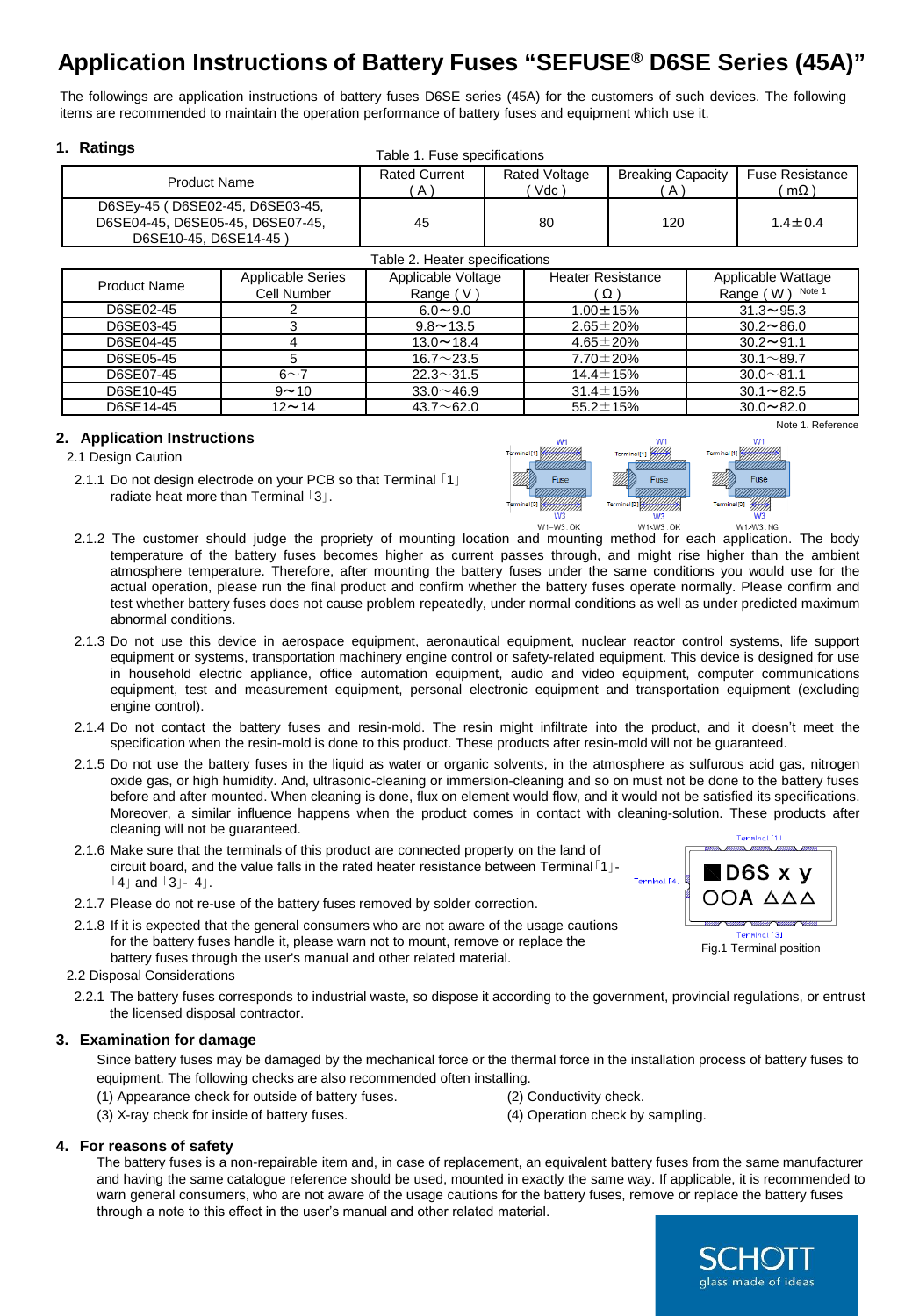# **Application Instructions of Battery Fuses "SEFUSE® D6SE Series (45A)"**

The followings are application instructions of battery fuses D6SE series (45A) for the customers of such devices. The following items are recommended to maintain the operation performance of battery fuses and equipment which use it.

## **1. Ratings**

| , adio 1.1 ago gdoghiodhong      |                                     |                          |                        |                                   |  |
|----------------------------------|-------------------------------------|--------------------------|------------------------|-----------------------------------|--|
| <b>Product Name</b>              | <b>Rated Current</b><br>$A^{\circ}$ | Rated Voltage<br>$Vdc$ ) | Breaking Capacity<br>A | <b>Fuse Resistance</b><br>$\mod)$ |  |
|                                  |                                     |                          |                        |                                   |  |
| D6SEy-45 (D6SE02-45, D6SE03-45,  |                                     |                          |                        |                                   |  |
| D6SE04-45, D6SE05-45, D6SE07-45, | 45                                  | 80                       | 120                    | $1.4 \pm 0.4$                     |  |
| D6SE10-45, D6SE14-45)            |                                     |                          |                        |                                   |  |

Table 1. Fuse specifications

#### Table 2. Heater specifications

| <b>Product Name</b> | <b>Applicable Series</b> | Applicable Voltage | <b>Heater Resistance</b> | Applicable Wattage      |
|---------------------|--------------------------|--------------------|--------------------------|-------------------------|
|                     | Cell Number              | Range (V)          | Ω                        | Note 1<br>Range (W)     |
| D6SE02-45           |                          | $6.0 - 9.0$        | $1.00 \pm 15\%$          | $31.3 \rightarrow 95.3$ |
| D6SE03-45           |                          | $9.8 \sim 13.5$    | $2.65 \pm 20\%$          | $30.2 - 86.0$           |
| D6SE04-45           |                          | $13.0 \sim 18.4$   | $4.65 \pm 20\%$          | $30.2 \rightarrow 91.1$ |
| D6SE05-45           |                          | $16.7 \sim 23.5$   | $7.70 \pm 20%$           | $30.1 \sim 89.7$        |
| D6SE07-45           | $6 \sim 7$               | $22.3 \sim 31.5$   | $14.4 \pm 15%$           | $30.0 \sim 81.1$        |
| D6SE10-45           | $9 - 10$                 | $33.0 \sim 46.9$   | $31.4 \pm 15%$           | $30.1 \sim 82.5$        |
| D6SE14-45           | $12 - 14$                | $43.7 \sim 62.0$   | $55.2 \pm 15%$           | $30.0 \sim 82.0$        |

## **2. Application Instructions**

2.1 Design Caution

2.1.1 Do not design electrode on your PCB so that Terminal [1] radiate heat more than Terminal 「3」.



**Terminal F4 L** 

- **2.1.2** The customer should judge the propriety of mounting location and mounting method for each application. The body temperature of the battery fuses becomes higher as current passes through, and might rise higher than the ambient atmosphere temperature. Therefore, after mounting the battery fuses under the same conditions you would use for the actual operation, please run the final product and confirm whether the battery fuses operate normally. Please confirm and test whether battery fuses does not cause problem repeatedly, under normal conditions as well as under predicted maximum abnormal conditions.
- 2.1.3 Do not use this device in aerospace equipment, aeronautical equipment, nuclear reactor control systems, life support equipment or systems, transportation machinery engine control or safety-related equipment. This device is designed for use in household electric appliance, office automation equipment, audio and video equipment, computer communications equipment, test and measurement equipment, personal electronic equipment and transportation equipment (excluding engine control).
- 2.1.4 Do not contact the battery fuses and resin-mold. The resin might infiltrate into the product, and it doesn't meet the specification when the resin-mold is done to this product. These products after resin-mold will not be guaranteed.
- 2.1.5 Do not use the battery fuses in the liquid as water or organic solvents, in the atmosphere as sulfurous acid gas, nitrogen oxide gas, or high humidity. And, ultrasonic-cleaning or immersion-cleaning and so on must not be done to the battery fuses before and after mounted. When cleaning is done, flux on element would flow, and it would not be satisfied its specifications. Moreover, a similar influence happens when the product comes in contact with cleaning-solution. These products after cleaning will not be guaranteed. Tenning [11]
- 2.1.6 Make sure that the terminals of this product are connected property on the land of circuit board, and the value falls in the rated heater resistance between Terminal「1」-  $\lceil 4 \rceil$  and  $\lceil 3 \rceil - \lceil 4 \rceil$ .
- 2.1.7 Please do not re-use of the battery fuses removed by solder correction.

2.1.8 If it is expected that the general consumers who are not aware of the usage cautions for the battery fuses handle it, please warn not to mount, remove or replace the battery fuses through the user's manual and other related material.

- 2.2 Disposal Considerations
- 2.2.1 The battery fuses corresponds to industrial waste, so dispose it according to the government, provincial regulations, or entrust the licensed disposal contractor.

## **3. Examination for damage**

Since battery fuses may be damaged by the mechanical force or the thermal force in the installation process of battery fuses to equipment. The following checks are also recommended often installing.

- (1) Appearance check for outside of battery fuses. (2) Conductivity check.
	-
- (3) X-ray check for inside of battery fuses. (4) Operation check by sampling.

## **4. For reasons of safety**

The battery fuses is a non-repairable item and, in case of replacement, an equivalent battery fuses from the same manufacturer and having the same catalogue reference should be used, mounted in exactly the same way. If applicable, it is recommended to warn general consumers, who are not aware of the usage cautions for the battery fuses, remove or replace the battery fuses through a note to this effect in the user's manual and other related material.



Fig.1 Terminal position

Terminal [3]

D6S x y

AAA **a**oc